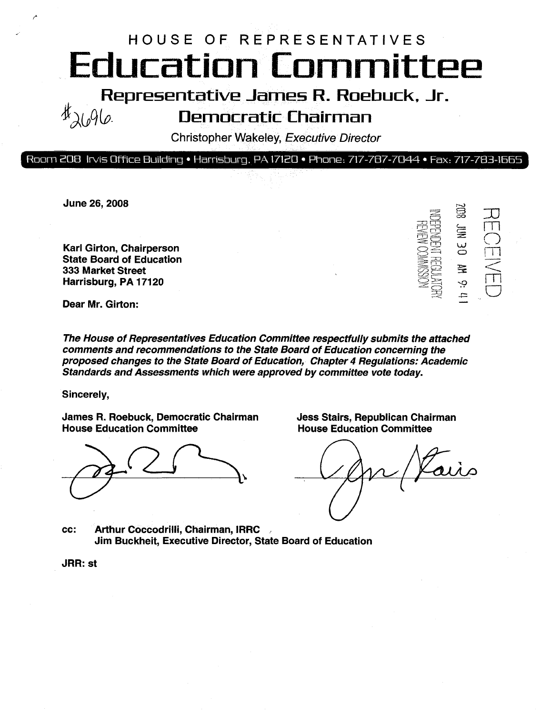# HOUSE OF REPRESENTATIVES Education Committee

Representative James R. Roebuck, Jr.<br>Democratic Chairman

### Democratic Chairman

Christopher Wakeley, Executive Director

#### Room 208 Irvis Office Building » Harrisburg. PA 17120 » Ftiore: 717-787-7044 \* Fax: 717-783-1555

June 26, 2008

Karl Girton, Chairperson State Board of Education 333 Market Street Harrisburg, PA 17120

es<br>El  $\widetilde{\Box}$  $\sum$ ;<br>>  $\bar{\Xi}$ **SE**  $\geq$  $\overline{\square}$  $\varphi$ S  $\Rightarrow$ 

Dear Mr. Girton:

The House of Representatives Education Committee respectfully submits the attached comments and recommendations to the State Board of Education concerning the proposed changes to the State Board of Education, Chapter 4 Regulations: Academic Standards and Assessments which were approved by committee vote today.

Sincerely,

James R. Roebuck, Democratic Chairman House Education Committee

Jess Stairs, Republican Chairman House Education Committee

cc: Arthur Coccodrilll, Chairman, IRRC Jim Buckheit, Executive Director, State Board of Education

JRR: st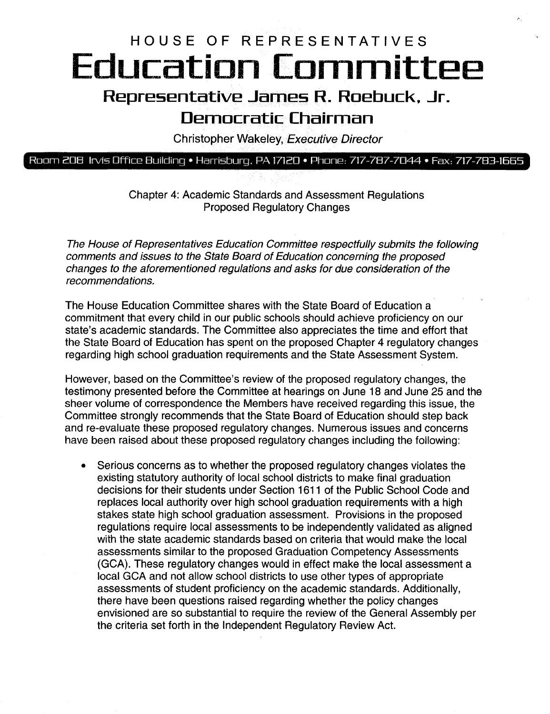## HOUSE OF REPRESENTATIVES Education Committee Representative James R. Roebuck, Jr.

## Democratic Chairman

Christopher Wakeley, Executive Director

### Room 208 Irvis Office Building • Harrisburg. PA 17120 • Phone: 717-787-7044 • Fax: 717-783-1665

Chapter 4: Academic Standards and Assessment Regulations Proposed Regulatory Changes

The House of Representatives Education Committee respectfully submits the following comments and issues to the State Board of Education concerning the proposed changes to the aforementioned regulations and asks for due consideration of the recommendations.

The House Education Committee shares with the State Board of Education a commitment that every child in our public schools should achieve proficiency on our state's academic standards. The Committee also appreciates the time and effort that the State Board of Education has spent on the proposed Chapter 4 regulatory changes regarding high school graduation requirements and the State Assessment System.

However, based on the Committee's review of the proposed regulatory changes, the testimony presented before the Committee at hearings on June 18 and June 25 and the sheer volume of correspondence the Members have received regarding this issue, the Committee strongly recommends that the State Board of Education should step back and re-evaluate these proposed regulatory changes. Numerous issues and concerns have been raised about these proposed regulatory changes including the following:

• Serious concerns as to whether the proposed regulatory changes violates the existing statutory authority of local school districts to make final graduation decisions for their students under Section 1611 of the Public School Code and replaces local authority over high school graduation requirements with a high stakes state high school graduation assessment. Provisions in the proposed regulations require local assessments to be independently validated as aligned with the state academic standards based on criteria that would make the local assessments similar to the proposed Graduation Competency Assessments (GCA). These regulatory changes would in effect make the local assessment a local GCA and not allow school districts to use other types of appropriate assessments of student proficiency on the academic standards. Additionally, there have been questions raised regarding whether the policy changes envisioned are so substantial to require the review of the General Assembly per the criteria set forth in the Independent Regulatory Review Act.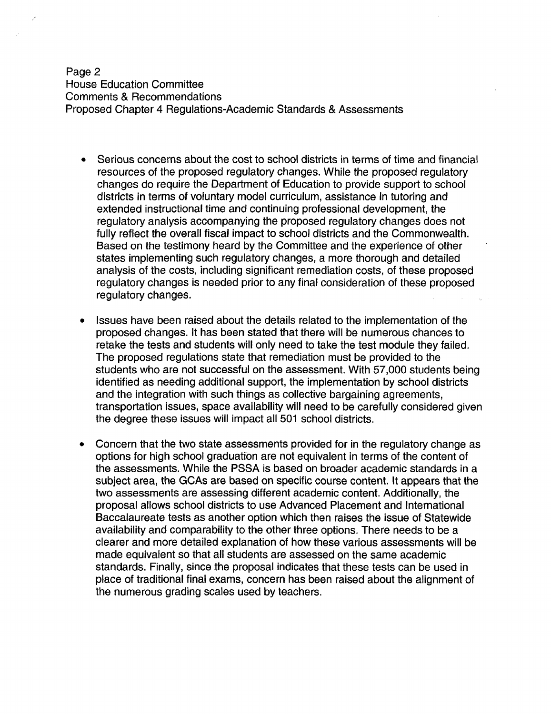Page 2 House Education Committee Comments & Recommendations Proposed Chapter 4 Regulations-Academic Standards & Assessments

- Serious concerns about the cost to school districts in terms of time and financial resources of the proposed regulatory changes. While the proposed regulatory changes do require the Department of Education to provide support to school districts in terms of voluntary model curriculum, assistance in tutoring and extended instructional time and continuing professional development, the regulatory analysis accompanying the proposed regulatory changes does not fully reflect the overall fiscal impact to school districts and the Commonwealth. Based on the testimony heard by the Committee and the experience of other states implementing such regulatory changes, a more thorough and detailed analysis of the costs, including significant remediation costs, of these proposed regulatory changes is needed prior to any final consideration of these proposed regulatory changes.
- Issues have been raised about the details related to the implementation of the proposed changes. It has been stated that there will be numerous chances to retake the tests and students will only need to take the test module they failed. The proposed regulations state that remediation must be provided to the students who are not successful on the assessment. With 57,000 students being identified as needing additional support, the implementation by school districts and the integration with such things as collective bargaining agreements, transportation issues, space availability will need to be carefully considered given the degree these issoes will impact all 501 school districts.
- Concern that the two state assessments provided for in the regulatory change as options for high school graduation are not equivalent in terms of the content of the assessments. While the PSSA is based on broader academic standards in a subject area, the GCAs are based on specific course content. It appears that the two assessments are assessing different academic content. Additionally, the proposal allows school districts to use Advanced Placement and International Baccalaureate tests as another option which then raises the issue of Statewide availability and comparability to the other three options. There needs to be a clearer and more detailed explanation of how these various assessments will be made equivalent so that all students are assessed on the same academic standards. Finally, since the proposal indicates that these tests can be used in place of traditional final exams, concern has been raised about the alignment of the numerous grading scales used by teachers.